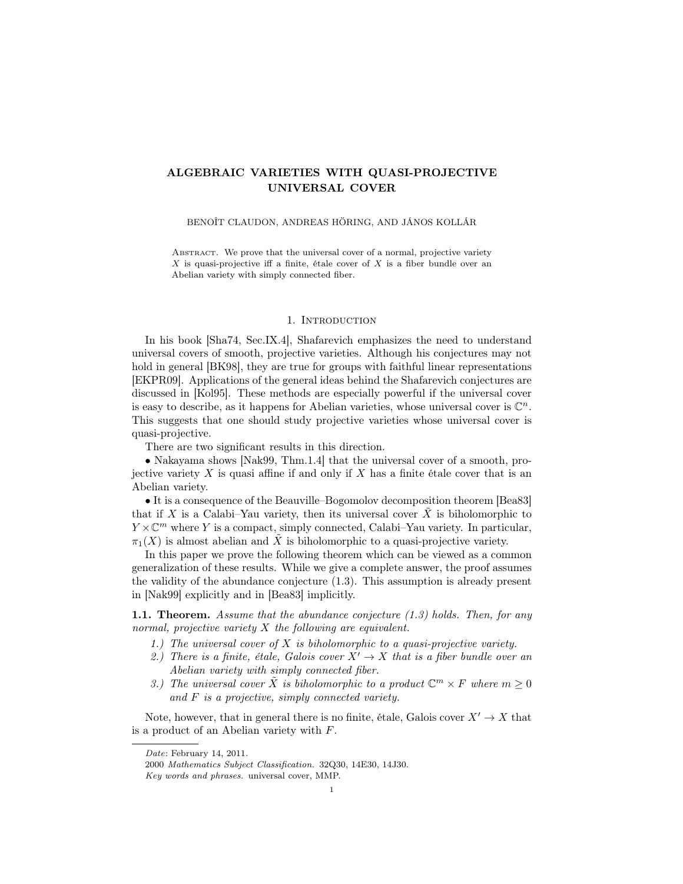# ALGEBRAIC VARIETIES WITH QUASI-PROJECTIVE UNIVERSAL COVER

## BENOÎT CLAUDON, ANDREAS HÖRING, AND JÁNOS KOLLÁR

ABSTRACT. We prove that the universal cover of a normal, projective variety X is quasi-projective iff a finite, étale cover of X is a fiber bundle over an Abelian variety with simply connected fiber.

### 1. Introduction

In his book [Sha74, Sec.IX.4], Shafarevich emphasizes the need to understand universal covers of smooth, projective varieties. Although his conjectures may not hold in general [BK98], they are true for groups with faithful linear representations [EKPR09]. Applications of the general ideas behind the Shafarevich conjectures are discussed in [Kol95]. These methods are especially powerful if the universal cover is easy to describe, as it happens for Abelian varieties, whose universal cover is  $\mathbb{C}^n$ . This suggests that one should study projective varieties whose universal cover is quasi-projective.

There are two significant results in this direction.

• Nakayama shows [Nak99, Thm.1.4] that the universal cover of a smooth, projective variety  $X$  is quasi affine if and only if  $X$  has a finite étale cover that is an Abelian variety.

• It is a consequence of the Beauville–Bogomolov decomposition theorem [Bea83] that if X is a Calabi–Yau variety, then its universal cover  $\tilde{X}$  is biholomorphic to  $Y \times \mathbb{C}^m$  where Y is a compact, simply connected, Calabi–Yau variety. In particular,  $\pi_1(X)$  is almost abelian and  $\tilde{X}$  is biholomorphic to a quasi-projective variety.

In this paper we prove the following theorem which can be viewed as a common generalization of these results. While we give a complete answer, the proof assumes the validity of the abundance conjecture (1.3). This assumption is already present in [Nak99] explicitly and in [Bea83] implicitly.

**1.1. Theorem.** Assume that the abundance conjecture  $(1.3)$  holds. Then, for any normal, projective variety  $X$  the following are equivalent.

- 1.) The universal cover of  $X$  is biholomorphic to a quasi-projective variety.
- 2.) There is a finite, étale, Galois cover  $X' \to X$  that is a fiber bundle over an Abelian variety with simply connected fiber.
- 3.) The universal cover  $\tilde{X}$  is biholomorphic to a product  $\mathbb{C}^m \times F$  where  $m \geq 0$ and F is a projective, simply connected variety.

Note, however, that in general there is no finite, étale, Galois cover  $X' \to X$  that is a product of an Abelian variety with F.

Date: February 14, 2011.

<sup>2000</sup> Mathematics Subject Classification. 32Q30, 14E30, 14J30.

Key words and phrases. universal cover, MMP.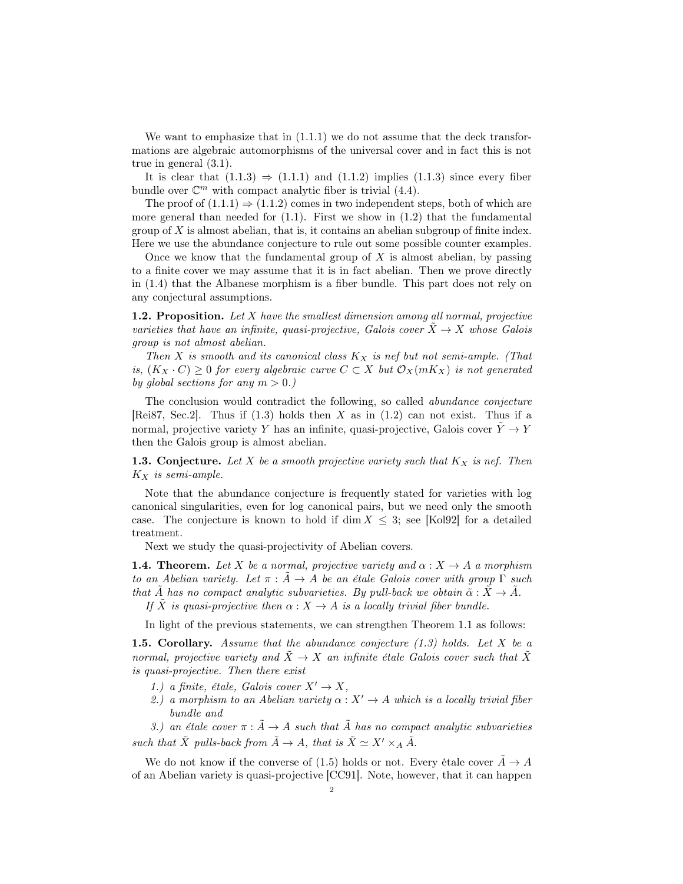We want to emphasize that in  $(1.1.1)$  we do not assume that the deck transformations are algebraic automorphisms of the universal cover and in fact this is not true in general (3.1).

It is clear that  $(1.1.3) \Rightarrow (1.1.1)$  and  $(1.1.2)$  implies  $(1.1.3)$  since every fiber bundle over  $\mathbb{C}^m$  with compact analytic fiber is trivial (4.4).

The proof of  $(1.1.1) \Rightarrow (1.1.2)$  comes in two independent steps, both of which are more general than needed for  $(1.1)$ . First we show in  $(1.2)$  that the fundamental group of  $X$  is almost abelian, that is, it contains an abelian subgroup of finite index. Here we use the abundance conjecture to rule out some possible counter examples.

Once we know that the fundamental group of  $X$  is almost abelian, by passing to a finite cover we may assume that it is in fact abelian. Then we prove directly in (1.4) that the Albanese morphism is a fiber bundle. This part does not rely on any conjectural assumptions.

**1.2. Proposition.** Let  $X$  have the smallest dimension among all normal, projective varieties that have an infinite, quasi-projective, Galois cover  $X \to X$  whose Galois group is not almost abelian.

Then X is smooth and its canonical class  $K_X$  is nef but not semi-ample. (That is,  $(K_X \cdot C) \geq 0$  for every algebraic curve  $C \subset X$  but  $\mathcal{O}_X(mK_X)$  is not generated by global sections for any  $m > 0$ .)

The conclusion would contradict the following, so called abundance conjecture [Rei87, Sec.2]. Thus if  $(1.3)$  holds then X as in  $(1.2)$  can not exist. Thus if a normal, projective variety Y has an infinite, quasi-projective, Galois cover  $\tilde{Y} \to Y$ then the Galois group is almost abelian.

**1.3. Conjecture.** Let X be a smooth projective variety such that  $K_X$  is nef. Then  $K_X$  is semi-ample.

Note that the abundance conjecture is frequently stated for varieties with log canonical singularities, even for log canonical pairs, but we need only the smooth case. The conjecture is known to hold if dim  $X \leq 3$ ; see [Kol92] for a detailed treatment.

Next we study the quasi-projectivity of Abelian covers.

**1.4. Theorem.** Let X be a normal, projective variety and  $\alpha : X \to A$  a morphism to an Abelian variety. Let  $\pi$  :  $\tilde{A} \rightarrow A$  be an étale Galois cover with group  $\Gamma$  such that A has no compact analytic subvarieties. By pull-back we obtain  $\tilde{\alpha}: X \to A$ .

If X is quasi-projective then  $\alpha: X \to A$  is a locally trivial fiber bundle.

In light of the previous statements, we can strengthen Theorem 1.1 as follows:

**1.5. Corollary.** Assume that the abundance conjecture  $(1.3)$  holds. Let X be a normal, projective variety and  $\tilde{X} \to X$  an infinite étale Galois cover such that  $\tilde{X}$ is quasi-projective. Then there exist

- 1.) a finite, étale, Galois cover  $X' \to X$ ,
- 2.) a morphism to an Abelian variety  $\alpha: X' \to A$  which is a locally trivial fiber bundle and

3.) an étale cover  $\pi : \tilde{A} \to A$  such that  $\tilde{A}$  has no compact analytic subvarieties such that  $\tilde{X}$  pulls-back from  $\tilde{A} \to A$ , that is  $\tilde{X} \simeq X' \times_A \tilde{A}$ .

We do not know if the converse of (1.5) holds or not. Every étale cover  $\ddot{A} \rightarrow A$ of an Abelian variety is quasi-projective [CC91]. Note, however, that it can happen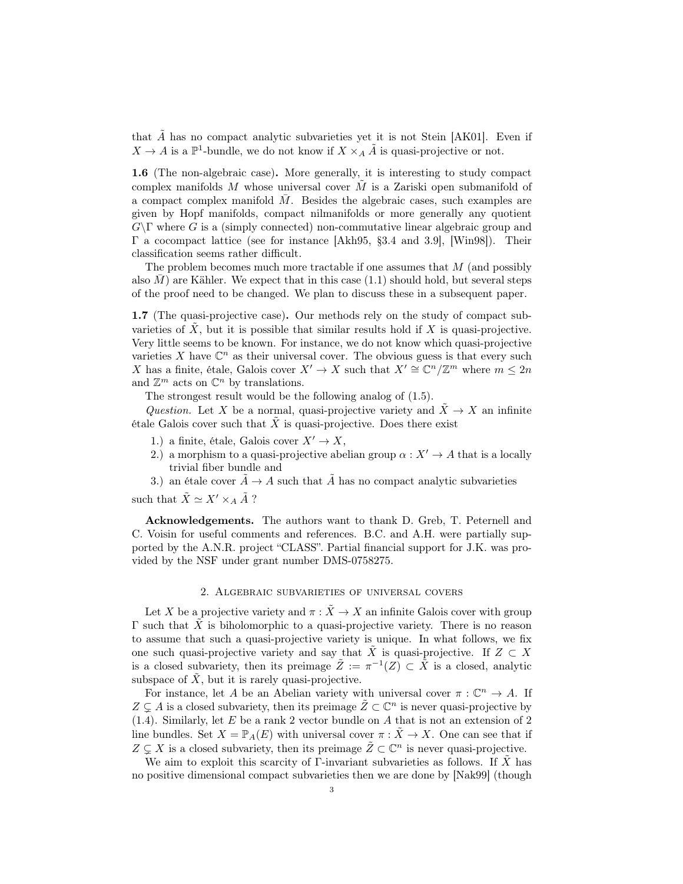that  $\tilde{A}$  has no compact analytic subvarieties yet it is not Stein [AK01]. Even if  $X \to A$  is a  $\mathbb{P}^1$ -bundle, we do not know if  $X \times_A \tilde{A}$  is quasi-projective or not.

1.6 (The non-algebraic case). More generally, it is interesting to study compact complex manifolds M whose universal cover  $\tilde{M}$  is a Zariski open submanifold of a compact complex manifold  $M$ . Besides the algebraic cases, such examples are given by Hopf manifolds, compact nilmanifolds or more generally any quotient  $G\Gamma$  where G is a (simply connected) non-commutative linear algebraic group and Γ a cocompact lattice (see for instance [Akh95, §3.4 and 3.9], [Win98]). Their classification seems rather difficult.

The problem becomes much more tractable if one assumes that M (and possibly also  $M$  are Kähler. We expect that in this case  $(1.1)$  should hold, but several steps of the proof need to be changed. We plan to discuss these in a subsequent paper.

1.7 (The quasi-projective case). Our methods rely on the study of compact subvarieties of  $X$ , but it is possible that similar results hold if  $X$  is quasi-projective. Very little seems to be known. For instance, we do not know which quasi-projective varieties X have  $\mathbb{C}^n$  as their universal cover. The obvious guess is that every such X has a finite, étale, Galois cover  $X' \to X$  such that  $X' \cong \mathbb{C}^n/\mathbb{Z}^m$  where  $m \leq 2n$ and  $\mathbb{Z}^m$  acts on  $\mathbb{C}^n$  by translations.

The strongest result would be the following analog of (1.5).

Question. Let X be a normal, quasi-projective variety and  $\tilde{X} \to X$  an infinite étale Galois cover such that  $X$  is quasi-projective. Does there exist

- 1.) a finite, étale, Galois cover  $X' \to X$ ,
- 2.) a morphism to a quasi-projective abelian group  $\alpha: X' \to A$  that is a locally trivial fiber bundle and
- 3.) an étale cover  $A \rightarrow A$  such that  $\tilde{A}$  has no compact analytic subvarieties

such that  $\tilde{X} \simeq X' \times_A \tilde{A}$ ?

Acknowledgements. The authors want to thank D. Greb, T. Peternell and C. Voisin for useful comments and references. B.C. and A.H. were partially supported by the A.N.R. project "CLASS". Partial financial support for J.K. was provided by the NSF under grant number DMS-0758275.

### 2. Algebraic subvarieties of universal covers

Let X be a projective variety and  $\pi : \tilde{X} \to X$  an infinite Galois cover with group Γ such that  $\tilde{X}$  is biholomorphic to a quasi-projective variety. There is no reason to assume that such a quasi-projective variety is unique. In what follows, we fix one such quasi-projective variety and say that  $\tilde{X}$  is quasi-projective. If  $Z \subset X$ is a closed subvariety, then its preimage  $\tilde{Z} := \pi^{-1}(Z) \subset \tilde{X}$  is a closed, analytic subspace of  $\tilde{X}$ , but it is rarely quasi-projective.

For instance, let A be an Abelian variety with universal cover  $\pi : \mathbb{C}^n \to A$ . If  $Z \subsetneq A$  is a closed subvariety, then its preimage  $\tilde{Z} \subset \mathbb{C}^n$  is never quasi-projective by  $(1.4)$ . Similarly, let E be a rank 2 vector bundle on A that is not an extension of 2 line bundles. Set  $X = \mathbb{P}_A(E)$  with universal cover  $\pi : \tilde{X} \to X$ . One can see that if  $Z \subsetneq X$  is a closed subvariety, then its preimage  $\tilde{Z} \subset \mathbb{C}^n$  is never quasi-projective.

We aim to exploit this scarcity of  $\Gamma$ -invariant subvarieties as follows. If  $\tilde{X}$  has no positive dimensional compact subvarieties then we are done by [Nak99] (though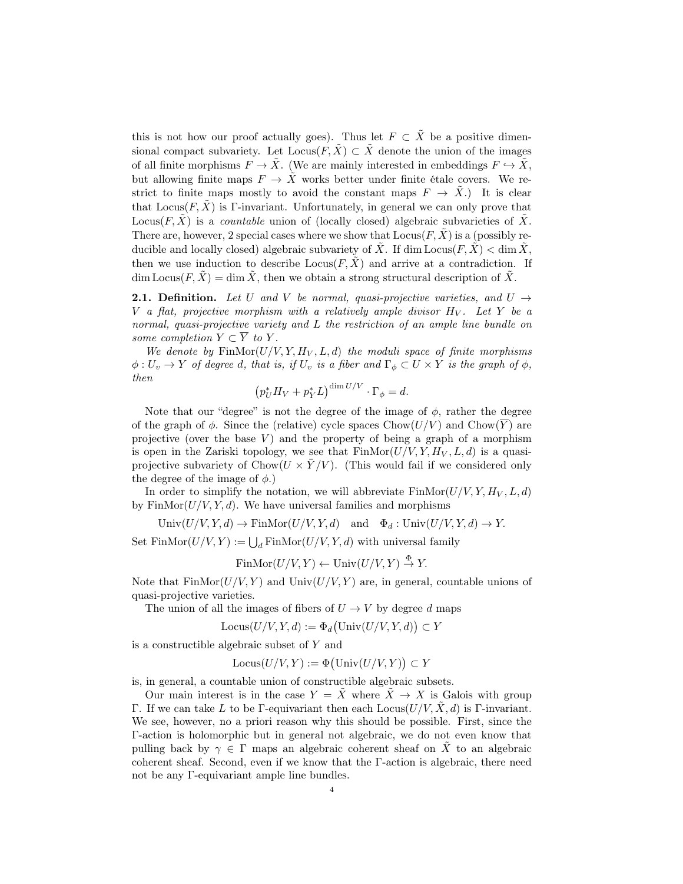this is not how our proof actually goes). Thus let  $F \subset \tilde{X}$  be a positive dimensional compact subvariety. Let  $Locus(F, \tilde{X}) \subset \tilde{X}$  denote the union of the images of all finite morphisms  $F \to \tilde{X}$ . (We are mainly interested in embeddings  $F \hookrightarrow \tilde{X}$ , but allowing finite maps  $F \to \tilde{X}$  works better under finite étale covers. We restrict to finite maps mostly to avoid the constant maps  $F \to X$ .) It is clear that  $Locus(F, \tilde{X})$  is Γ-invariant. Unfortunately, in general we can only prove that Locus(F,  $\hat{X}$ ) is a countable union of (locally closed) algebraic subvarieties of  $\hat{X}$ . There are, however, 2 special cases where we show that  $Locus(F, X)$  is a (possibly reducible and locally closed) algebraic subvariety of  $\tilde{X}$ . If dim Locus $(F, \tilde{X}) < \dim \tilde{X}$ , then we use induction to describe  $\text{Locus}(F,\tilde{X})$  and arrive at a contradiction. If dim Locus $(F, \tilde{X}) = \dim \tilde{X}$ , then we obtain a strong structural description of  $\tilde{X}$ .

**2.1. Definition.** Let U and V be normal, quasi-projective varieties, and  $U \rightarrow$ V a flat, projective morphism with a relatively ample divisor  $H_V$ . Let Y be a normal, quasi-projective variety and L the restriction of an ample line bundle on some completion  $Y \subset \overline{Y}$  to Y.

We denote by  $\text{FinMor}(U/V, Y, H_V, L, d)$  the moduli space of finite morphisms  $\phi: U_v \to Y$  of degree d, that is, if  $U_v$  is a fiber and  $\Gamma_{\phi} \subset U \times Y$  is the graph of  $\phi$ , then

$$
\left(p_U^* H_V + p_Y^* L\right)^{\dim U/V} \cdot \Gamma_{\phi} = d.
$$

Note that our "degree" is not the degree of the image of  $\phi$ , rather the degree of the graph of  $\phi$ . Since the (relative) cycle spaces Chow $(U/V)$  and Chow $(\overline{Y})$  are projective (over the base  $V$ ) and the property of being a graph of a morphism is open in the Zariski topology, we see that  $\text{FinMor}(U/V, Y, H_V, L, d)$  is a quasiprojective subvariety of  $Chow(U \times Y/V)$ . (This would fail if we considered only the degree of the image of  $\phi$ .)

In order to simplify the notation, we will abbreviate  $\text{FinMor}(U/V, Y, H_V, L, d)$ by  $\text{FinMor}(U/V, Y, d)$ . We have universal families and morphisms

Univ $(U/V, Y, d) \to \text{FinMor}(U/V, Y, d)$  and  $\Phi_d: \text{Univ}(U/V, Y, d) \to Y$ .

Set  $\text{FinMor}(U/V, Y) := \bigcup_{d} \text{FinMor}(U/V, Y, d)$  with universal family

$$
FinMor(U/V, Y) \leftarrow Univ(U/V, Y) \stackrel{\Phi}{\rightarrow} Y.
$$

Note that  $\text{FinMor}(U/V, Y)$  and  $\text{Univ}(U/V, Y)$  are, in general, countable unions of quasi-projective varieties.

The union of all the images of fibers of  $U \to V$  by degree d maps

$$
Locus(U/V, Y, d) := \Phi_d\big(\text{Univ}(U/V, Y, d)\big) \subset Y
$$

is a constructible algebraic subset of Y and

$$
Locus(U/V, Y) := \Phi(Univ(U/V, Y)) \subset Y
$$

is, in general, a countable union of constructible algebraic subsets.

Our main interest is in the case  $Y = \tilde{X}$  where  $\tilde{X} \to X$  is Galois with group Γ. If we can take L to be Γ-equivariant then each  $Locus(U/V, X, d)$  is Γ-invariant. We see, however, no a priori reason why this should be possible. First, since the Γ-action is holomorphic but in general not algebraic, we do not even know that pulling back by  $\gamma \in \Gamma$  maps an algebraic coherent sheaf on X to an algebraic coherent sheaf. Second, even if we know that the Γ-action is algebraic, there need not be any Γ-equivariant ample line bundles.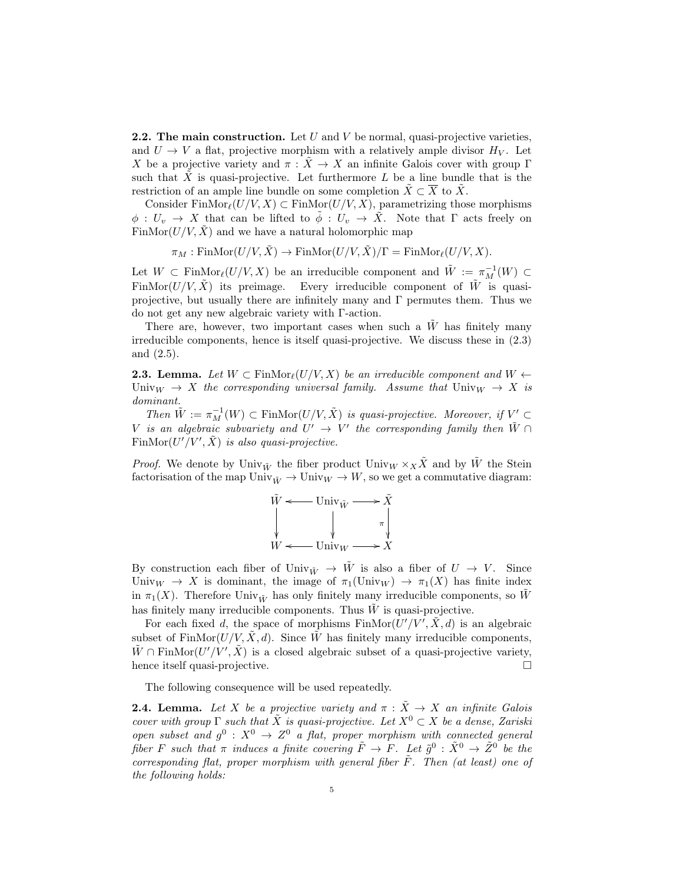**2.2.** The main construction. Let U and V be normal, quasi-projective varieties, and  $U \to V$  a flat, projective morphism with a relatively ample divisor  $H_V$ . Let X be a projective variety and  $\pi : \tilde{X} \to X$  an infinite Galois cover with group Γ such that  $\tilde{X}$  is quasi-projective. Let furthermore L be a line bundle that is the restriction of an ample line bundle on some completion  $\tilde{X} \subset \overline{X}$  to  $\tilde{X}$ .

Consider Fin $\text{Mor}_{\ell}(U/V, X) \subset \text{FinMor}(U/V, X)$ , parametrizing those morphisms  $\phi: U_v \to X$  that can be lifted to  $\tilde{\phi}: U_v \to \tilde{X}$ . Note that  $\Gamma$  acts freely on FinMor $(U/V, \hat{X})$  and we have a natural holomorphic map

 $\pi_M : \text{FinMor}(U/V, \tilde{X}) \to \text{FinMor}(U/V, \tilde{X})/\Gamma = \text{FinMor}_{\ell}(U/V, X).$ 

Let  $W \subset \text{FinMor}_{\ell}(U/V, X)$  be an irreducible component and  $\tilde{W} := \pi_M^{-1}(W) \subset$ FinMor $(U/V, \tilde{X})$  its preimage. Every irreducible component of  $\tilde{W}$  is quasiprojective, but usually there are infinitely many and  $\Gamma$  permutes them. Thus we do not get any new algebraic variety with Γ-action.

There are, however, two important cases when such a  $\tilde{W}$  has finitely many irreducible components, hence is itself quasi-projective. We discuss these in (2.3) and (2.5).

**2.3. Lemma.** Let  $W \subset \text{FinMor}_{\ell}(U/V, X)$  be an irreducible component and  $W \leftarrow$ Univ<sub>W</sub>  $\rightarrow$  X the corresponding universal family. Assume that Univ<sub>W</sub>  $\rightarrow$  X is dominant.

Then  $\tilde{W} := \pi_M^{-1}(W) \subset \text{FinMor}(U/V, \tilde{X})$  is quasi-projective. Moreover, if  $V' \subset$ V is an algebraic subvariety and  $U' \rightarrow V'$  the corresponding family then  $\tilde{W} \cap$ Fin $\text{Mor}(U'/V', \tilde{X})$  is also quasi-projective.

*Proof.* We denote by Univ<sub> $\tilde{W}$ </sub> the fiber product Univ<sub>W</sub>  $\times_X \tilde{X}$  and by  $\tilde{W}$  the Stein factorisation of the map  $\text{Univ}_{\tilde{W}} \to \text{Univ}_W \to W$ , so we get a commutative diagram:



By construction each fiber of Univ $\tilde{W} \rightarrow \tilde{W}$  is also a fiber of  $U \rightarrow V$ . Since Univ<sub>W</sub>  $\rightarrow$  X is dominant, the image of  $\pi_1(\text{Univ}_W) \rightarrow \pi_1(X)$  has finite index in  $\pi_1(X)$ . Therefore Univ<sub> $\tilde{W}$ </sub> has only finitely many irreducible components, so W has finitely many irreducible components. Thus  $\tilde{W}$  is quasi-projective.

For each fixed d, the space of morphisms  $\text{FinMor}(\overline{U'}/\overline{V'}, \tilde{X}, d)$  is an algebraic subset of FinMor $(U/V, \tilde{X}, d)$ . Since  $\tilde{W}$  has finitely many irreducible components,  $\tilde{W} \cap \text{FinMor}(U'/V', \tilde{X})$  is a closed algebraic subset of a quasi-projective variety, hence itself quasi-projective.

The following consequence will be used repeatedly.

**2.4. Lemma.** Let X be a projective variety and  $\pi$  :  $\tilde{X} \rightarrow X$  an infinite Galois cover with group  $\Gamma$  such that  $\tilde{X}$  is quasi-projective. Let  $X^0 \subset X$  be a dense, Zariski open subset and  $g^0: X^0 \to Z^0$  a flat, proper morphism with connected general fiber F such that  $\pi$  induces a finite covering  $\tilde{F} \to F$ . Let  $\tilde{g}^0$  :  $\tilde{X}^0 \to \tilde{Z}^0$  be the corresponding flat, proper morphism with general fiber  $\overline{F}$ . Then (at least) one of the following holds: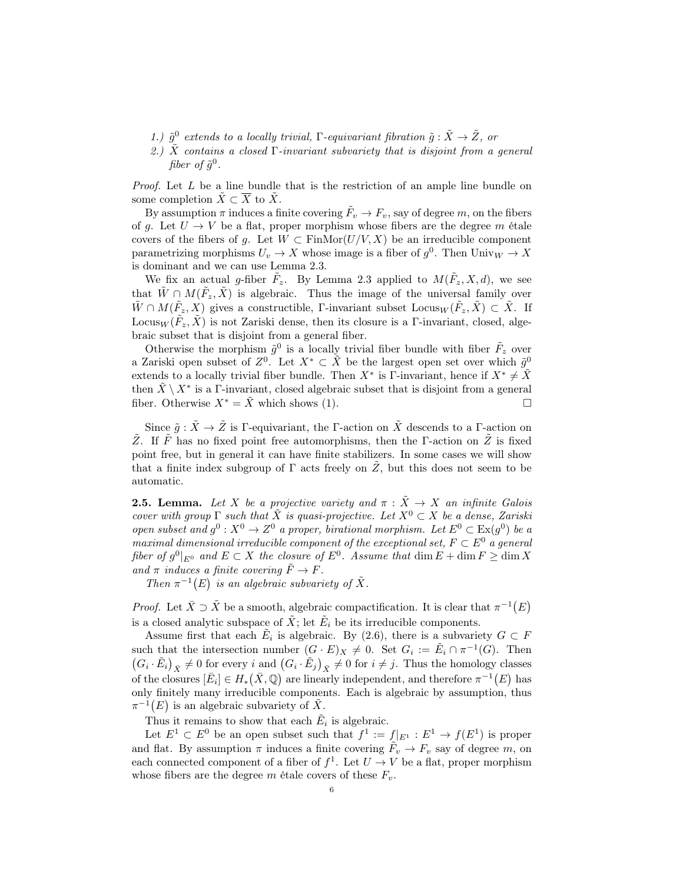- 1.)  $\tilde{g}^0$  extends to a locally trivial,  $\Gamma$ -equivariant fibration  $\tilde{g} : \tilde{X} \to \tilde{Z}$ , or
- 2.)  $\tilde{X}$  contains a closed  $\Gamma$ -invariant subvariety that is disjoint from a general fiber of  $\tilde{g}^0$ .

*Proof.* Let  $L$  be a line bundle that is the restriction of an ample line bundle on some completion  $\tilde{X} \subset \overline{X}$  to  $\tilde{X}$ .

By assumption  $\pi$  induces a finite covering  $\tilde{F}_v \to F_v$ , say of degree m, on the fibers of g. Let  $U \to V$  be a flat, proper morphism whose fibers are the degree m étale covers of the fibers of g. Let  $W \subset \text{FinMor}(U/V, X)$  be an irreducible component parametrizing morphisms  $U_v \to X$  whose image is a fiber of  $g^0$ . Then  $\text{Univ}_W \to X$ is dominant and we can use Lemma 2.3.

We fix an actual g-fiber  $\tilde{F}_z$ . By Lemma 2.3 applied to  $M(\tilde{F}_z, X, d)$ , we see that  $\tilde{W} \cap M(\tilde{F}_z, \tilde{X})$  is algebraic. Thus the image of the universal family over  $\tilde{W} \cap M(\tilde{F}_z, X)$  gives a constructible, Γ-invariant subset  $\text{Locus}_W(\tilde{F}_z, \tilde{X}) \subset \tilde{X}$ . If Locus $_W(\tilde{F}_z, \tilde{X})$  is not Zariski dense, then its closure is a  $\Gamma$ -invariant, closed, algebraic subset that is disjoint from a general fiber.

Otherwise the morphism  $\tilde{g}^0$  is a locally trivial fiber bundle with fiber  $\tilde{F}_z$  over a Zariski open subset of  $Z^0$ . Let  $X^* \subset \tilde{X}$  be the largest open set over which  $\tilde{g}^0$ extends to a locally trivial fiber bundle. Then  $X^*$  is Γ-invariant, hence if  $X^* \neq \tilde{X}$ then  $\tilde{X} \setminus X^*$  is a F-invariant, closed algebraic subset that is disjoint from a general fiber. Otherwise  $X^* = \tilde{X}$  which shows (1).

Since  $\tilde{g}: \tilde{X} \to \tilde{Z}$  is Γ-equivariant, the Γ-action on  $\tilde{X}$  descends to a Γ-action on  $\tilde{Z}$ . If  $\tilde{F}$  has no fixed point free automorphisms, then the Γ-action on  $\tilde{Z}$  is fixed point free, but in general it can have finite stabilizers. In some cases we will show that a finite index subgroup of  $\Gamma$  acts freely on  $Z$ , but this does not seem to be automatic.

**2.5. Lemma.** Let X be a projective variety and  $\pi$  :  $\tilde{X} \rightarrow X$  an infinite Galois cover with group  $\Gamma$  such that  $\tilde{X}$  is quasi-projective. Let  $X^0 \subset X$  be a dense, Zariski open subset and  $g^0: X^0 \to Z^0$  a proper, birational morphism. Let  $E^0 \subset Ex(g^0)$  be a maximal dimensional irreducible component of the exceptional set,  $F \subset E^0$  a general fiber of  $g^0|_{E^0}$  and  $E \subset X$  the closure of  $E^0$ . Assume that  $\dim E + \dim F \ge \dim X$ and  $\pi$  induces a finite covering  $\tilde{F} \to F$ .

Then  $\pi^{-1}(E)$  is an algebraic subvariety of  $\tilde{X}$ .

*Proof.* Let  $\bar{X} \supset \tilde{X}$  be a smooth, algebraic compactification. It is clear that  $\pi^{-1}(E)$ is a closed analytic subspace of  $\tilde{X}$ ; let  $\tilde{E}_i$  be its irreducible components.

Assume first that each  $\tilde{E}_i$  is algebraic. By (2.6), there is a subvariety  $G \subset F$ such that the intersection number  $(G \cdot E)_X \neq 0$ . Set  $G_i := \tilde{E}_i \cap \pi^{-1}(G)$ . Then  $(G_i \cdot \tilde{E}_i)_{\bar{X}} \neq 0$  for every i and  $(G_i \cdot \tilde{E}_j)_{\bar{X}} \neq 0$  for  $i \neq j$ . Thus the homology classes of the closures  $[\bar{E}_i] \in H_*(\bar{X}, \mathbb{Q})$  are linearly independent, and therefore  $\pi^{-1}(E)$  has only finitely many irreducible components. Each is algebraic by assumption, thus  $\pi^{-1}(E)$  is an algebraic subvariety of  $\tilde{X}$ .

Thus it remains to show that each  $\tilde{E}_i$  is algebraic.

Let  $E^1 \subset E^0$  be an open subset such that  $f^1 := f|_{E^1} : E^1 \to f(E^1)$  is proper and flat. By assumption  $\pi$  induces a finite covering  $\tilde{F}_v \to F_v$  say of degree m, on each connected component of a fiber of  $f^1$ . Let  $U \to V$  be a flat, proper morphism whose fibers are the degree m étale covers of these  $F_v$ .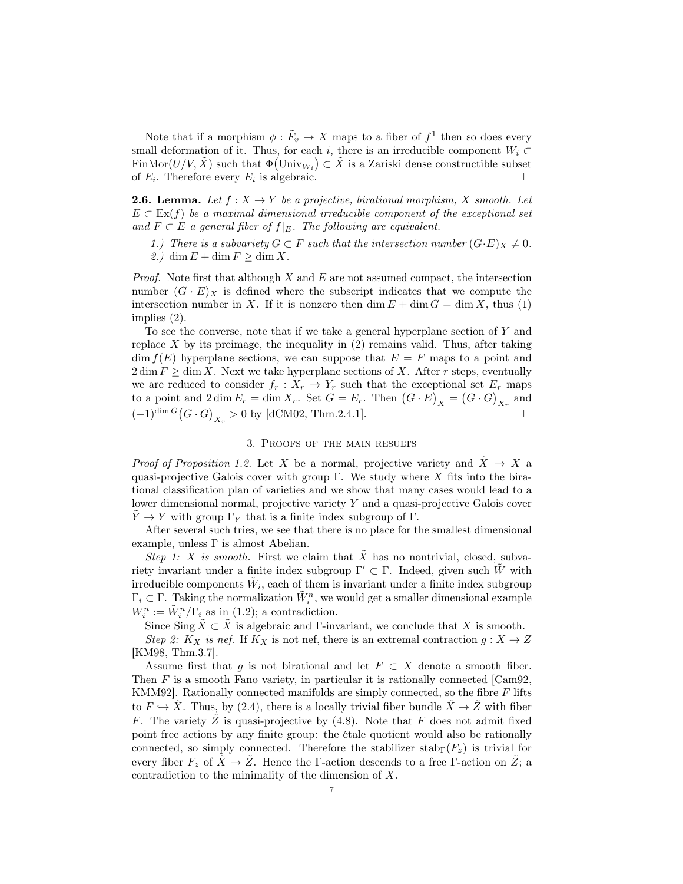Note that if a morphism  $\phi : \tilde{F}_v \to X$  maps to a fiber of  $f^1$  then so does every small deformation of it. Thus, for each i, there is an irreducible component  $W_i \subset$ FinMor $(U/V, \tilde{X})$  such that  $\Phi(\text{Univ}_{W_i}) \subset \tilde{X}$  is a Zariski dense constructible subset of  $E_i$ . Therefore every  $E_i$  is algebraic.

**2.6. Lemma.** Let  $f: X \to Y$  be a projective, birational morphism, X smooth. Let  $E \subset \mathrm{Ex}(f)$  be a maximal dimensional irreducible component of the exceptional set and  $F \subset E$  a general fiber of  $f|_E$ . The following are equivalent.

1.) There is a subvariety  $G \subset F$  such that the intersection number  $(G \cdot E)_X \neq 0$ .

2.) dim  $E + \dim F \ge \dim X$ .

*Proof.* Note first that although  $X$  and  $E$  are not assumed compact, the intersection number  $(G \cdot E)_X$  is defined where the subscript indicates that we compute the intersection number in X. If it is nonzero then  $\dim E + \dim G = \dim X$ , thus (1) implies (2).

To see the converse, note that if we take a general hyperplane section of  $Y$  and replace  $X$  by its preimage, the inequality in  $(2)$  remains valid. Thus, after taking  $\dim f(E)$  hyperplane sections, we can suppose that  $E = F$  maps to a point and  $2 \dim F \ge \dim X$ . Next we take hyperplane sections of X. After r steps, eventually we are reduced to consider  $f_r : X_r \to Y_r$  such that the exceptional set  $E_r$  maps to a point and  $2 \dim E_r = \dim X_r$ . Set  $G = E_r$ . Then  $(G \cdot E)_X = (G \cdot G)_{X_r}$  and  $(-1)^{\dim G} (G \cdot G)_{X_r} > 0$  by [dCM02, Thm.2.4.1]. □

## 3. Proofs of the main results

*Proof of Proposition 1.2.* Let X be a normal, projective variety and  $\tilde{X} \to X$  a quasi-projective Galois cover with group  $\Gamma$ . We study where X fits into the birational classification plan of varieties and we show that many cases would lead to a lower dimensional normal, projective variety Y and a quasi-projective Galois cover  $Y \to Y$  with group  $\Gamma_Y$  that is a finite index subgroup of  $\Gamma$ .

After several such tries, we see that there is no place for the smallest dimensional example, unless  $\Gamma$  is almost Abelian.

Step 1: X is smooth. First we claim that  $\overline{X}$  has no nontrivial, closed, subvariety invariant under a finite index subgroup  $\Gamma' \subset \Gamma$ . Indeed, given such  $\tilde{W}$  with irreducible components  $\tilde{W}_i$ , each of them is invariant under a finite index subgroup  $\Gamma_i \subset \Gamma$ . Taking the normalization  $\tilde{W}_i^n$ , we would get a smaller dimensional example  $W_i^n := \tilde{W}_i^n / \Gamma_i$  as in (1.2); a contradiction.

Since Sing  $\tilde{X} \subset \tilde{X}$  is algebraic and Γ-invariant, we conclude that X is smooth.

Step 2:  $K_X$  is nef. If  $K_X$  is not nef, there is an extremal contraction  $g: X \to Z$ [KM98, Thm.3.7].

Assume first that g is not birational and let  $F \subset X$  denote a smooth fiber. Then  $F$  is a smooth Fano variety, in particular it is rationally connected [Cam92, KMM92]. Rationally connected manifolds are simply connected, so the fibre  $F$  lifts to  $F \hookrightarrow \tilde{X}$ . Thus, by (2.4), there is a locally trivial fiber bundle  $\tilde{X} \to \tilde{Z}$  with fiber F. The variety  $\tilde{Z}$  is quasi-projective by (4.8). Note that F does not admit fixed point free actions by any finite group: the étale quotient would also be rationally connected, so simply connected. Therefore the stabilizer stab<sub>Γ</sub> $(F_z)$  is trivial for every fiber  $F_z$  of  $\tilde{X} \to \tilde{Z}$ . Hence the Γ-action descends to a free Γ-action on  $\tilde{Z}$ ; a contradiction to the minimality of the dimension of X.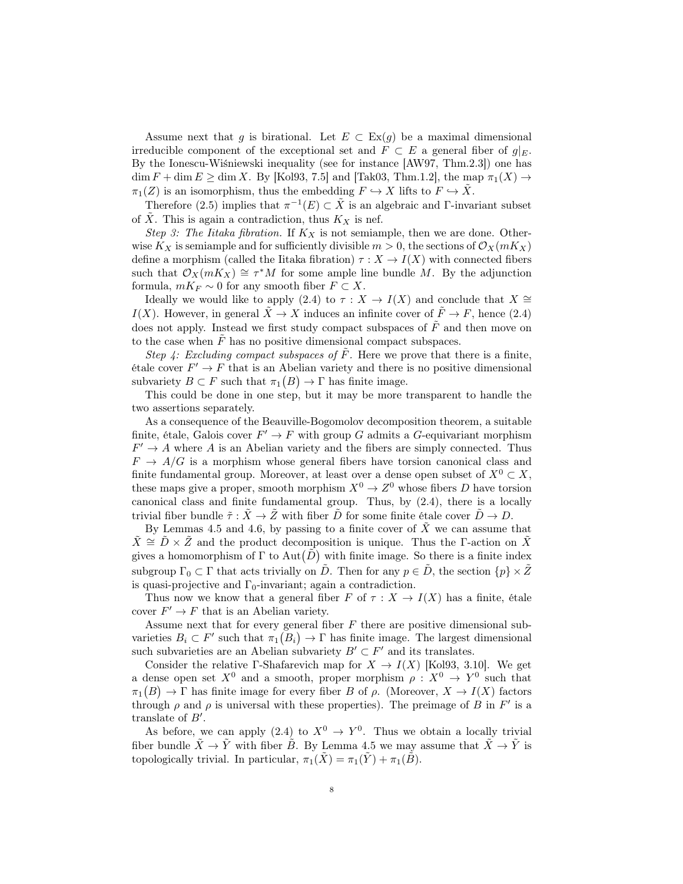Assume next that g is birational. Let  $E \subset Ex(g)$  be a maximal dimensional irreducible component of the exceptional set and  $F \subset E$  a general fiber of  $g|_E$ . By the Ionescu-Wiśniewski inequality (see for instance [AW97, Thm.2.3]) one has  $\dim F + \dim E \ge \dim X$ . By [Kol93, 7.5] and [Tak03, Thm.1.2], the map  $\pi_1(X) \to$  $\pi_1(Z)$  is an isomorphism, thus the embedding  $F \hookrightarrow X$  lifts to  $F \hookrightarrow \tilde{X}$ .

Therefore (2.5) implies that  $\pi^{-1}(E) \subset \tilde{X}$  is an algebraic and Γ-invariant subset of  $\tilde{X}$ . This is again a contradiction, thus  $K_X$  is nef.

Step 3: The Iitaka fibration. If  $K_X$  is not semiample, then we are done. Otherwise  $K_X$  is semiample and for sufficiently divisible  $m > 0$ , the sections of  $\mathcal{O}_X(mK_X)$ define a morphism (called the Iitaka fibration)  $\tau : X \to I(X)$  with connected fibers such that  $\mathcal{O}_X(mK_X) \cong \tau^*M$  for some ample line bundle M. By the adjunction formula,  $mK_F \sim 0$  for any smooth fiber  $F \subset X$ .

Ideally we would like to apply (2.4) to  $\tau : X \to I(X)$  and conclude that  $X \cong$ I(X). However, in general  $\tilde{X} \to X$  induces an infinite cover of  $\tilde{F} \to F$ , hence (2.4) does not apply. Instead we first study compact subspaces of  $\tilde{F}$  and then move on to the case when  $F$  has no positive dimensional compact subspaces.

Step 4: Excluding compact subspaces of  $\tilde{F}$ . Here we prove that there is a finite,  $\text{étale cover } F' \to F \text{ that is an Abelian variety and there is no positive dimensional.}$ subvariety  $B \subset F$  such that  $\pi_1(B) \to \Gamma$  has finite image.

This could be done in one step, but it may be more transparent to handle the two assertions separately.

As a consequence of the Beauville-Bogomolov decomposition theorem, a suitable finite, étale, Galois cover  $F' \to F$  with group G admits a G-equivariant morphism  $F' \to A$  where A is an Abelian variety and the fibers are simply connected. Thus  $F \to A/G$  is a morphism whose general fibers have torsion canonical class and finite fundamental group. Moreover, at least over a dense open subset of  $X^0 \subset X$ , these maps give a proper, smooth morphism  $X^0 \to Z^0$  whose fibers D have torsion canonical class and finite fundamental group. Thus, by (2.4), there is a locally trivial fiber bundle  $\tilde{\tau} : \tilde{X} \to \tilde{Z}$  with fiber  $\tilde{D}$  for some finite étale cover  $\tilde{D} \to D$ .

By Lemmas 4.5 and 4.6, by passing to a finite cover of  $\tilde{X}$  we can assume that  $\hat{X} \cong \hat{D} \times \hat{Z}$  and the product decomposition is unique. Thus the F-action on X gives a homomorphism of  $\Gamma$  to  $\text{Aut}(\tilde{D})$  with finite image. So there is a finite index subgroup  $\Gamma_0 \subset \Gamma$  that acts trivially on  $\tilde{D}$ . Then for any  $p \in \tilde{D}$ , the section  $\{p\} \times \tilde{Z}$ is quasi-projective and  $\Gamma_0$ -invariant; again a contradiction.

Thus now we know that a general fiber F of  $\tau : X \to I(X)$  has a finite, étale cover  $F' \to F$  that is an Abelian variety.

Assume next that for every general fiber  $F$  there are positive dimensional subvarieties  $B_i \subset F'$  such that  $\pi_1(B_i) \to \Gamma$  has finite image. The largest dimensional such subvarieties are an Abelian subvariety  $B' \subset F'$  and its translates.

Consider the relative Γ-Shafarevich map for  $X \to I(X)$  [Kol93, 3.10]. We get a dense open set  $X^0$  and a smooth, proper morphism  $\rho: X^0 \to Y^0$  such that  $\pi_1(B) \to \Gamma$  has finite image for every fiber B of  $\rho$ . (Moreover,  $X \to I(X)$  factors through  $\rho$  and  $\rho$  is universal with these properties). The preimage of B in F' is a translate of  $B'$ .

As before, we can apply (2.4) to  $X^0 \to Y^0$ . Thus we obtain a locally trivial fiber bundle  $\tilde{X} \to \tilde{Y}$  with fiber  $\tilde{B}$ . By Lemma 4.5 we may assume that  $\tilde{X} \to \tilde{Y}$  is topologically trivial. In particular,  $\pi_1(\tilde{X}) = \pi_1(\tilde{Y}) + \pi_1(\tilde{B})$ .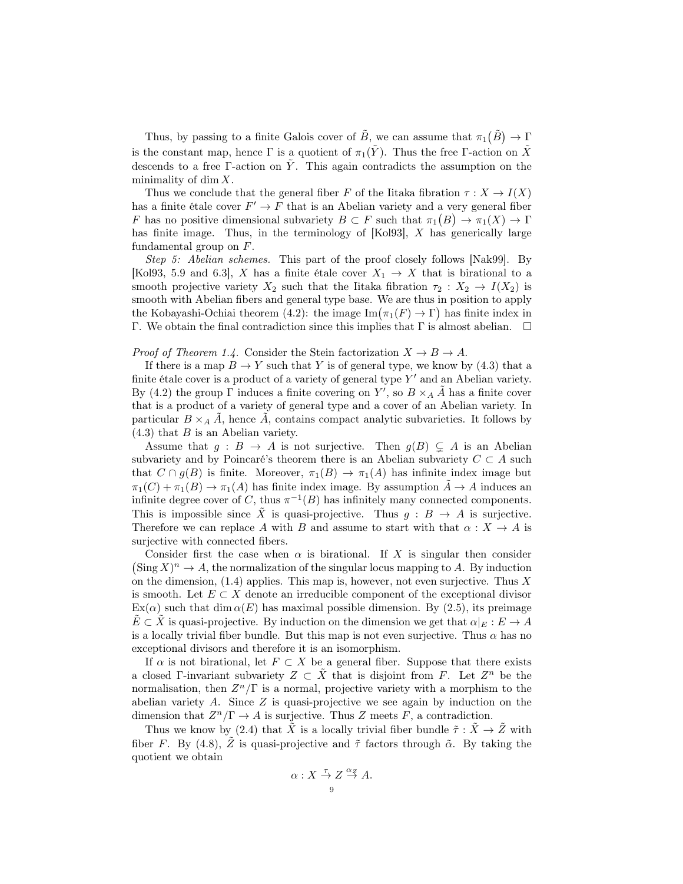Thus, by passing to a finite Galois cover of  $\tilde{B}$ , we can assume that  $\pi_1(\tilde{B}) \to \Gamma$ is the constant map, hence  $\Gamma$  is a quotient of  $\pi_1(\tilde{Y})$ . Thus the free Γ-action on  $\tilde{X}$ descends to a free Γ-action on  $\tilde{Y}$ . This again contradicts the assumption on the minimality of dim  $X$ .

Thus we conclude that the general fiber F of the Iitaka fibration  $\tau : X \to I(X)$ has a finite étale cover  $F' \to F$  that is an Abelian variety and a very general fiber F has no positive dimensional subvariety  $B \subset F$  such that  $\pi_1(B) \to \pi_1(X) \to \Gamma$ has finite image. Thus, in the terminology of [Kol93], X has generically large fundamental group on F.

Step 5: Abelian schemes. This part of the proof closely follows [Nak99]. By [Kol93, 5.9 and 6.3], X has a finite étale cover  $X_1 \to X$  that is birational to a smooth projective variety  $X_2$  such that the Iitaka fibration  $\tau_2 : X_2 \to I(X_2)$  is smooth with Abelian fibers and general type base. We are thus in position to apply the Kobayashi-Ochiai theorem (4.2): the image  $\text{Im}(\pi_1(F) \to \Gamma)$  has finite index in Γ. We obtain the final contradiction since this implies that Γ is almost abelian.  $\Box$ 

*Proof of Theorem 1.4.* Consider the Stein factorization  $X \to B \to A$ .

If there is a map  $B \to Y$  such that Y is of general type, we know by (4.3) that a finite étale cover is a product of a variety of general type  $Y'$  and an Abelian variety. By (4.2) the group  $\Gamma$  induces a finite covering on Y', so  $B \times_A \tilde{A}$  has a finite cover that is a product of a variety of general type and a cover of an Abelian variety. In particular  $B \times_A \tilde{A}$ , hence  $\tilde{A}$ , contains compact analytic subvarieties. It follows by  $(4.3)$  that B is an Abelian variety.

Assume that  $g : B \to A$  is not surjective. Then  $g(B) \subsetneq A$  is an Abelian subvariety and by Poincaré's theorem there is an Abelian subvariety  $C \subset A$  such that  $C \cap g(B)$  is finite. Moreover,  $\pi_1(B) \to \pi_1(A)$  has infinite index image but  $\pi_1(C) + \pi_1(B) \to \pi_1(A)$  has finite index image. By assumption  $\tilde{A} \to A$  induces an infinite degree cover of C, thus  $\pi^{-1}(B)$  has infinitely many connected components. This is impossible since  $\tilde{X}$  is quasi-projective. Thus  $g : B \to A$  is surjective. Therefore we can replace A with B and assume to start with that  $\alpha : X \to A$  is surjective with connected fibers.

Consider first the case when  $\alpha$  is birational. If X is singular then consider  $(\text{Sing } X)^n \to A$ , the normalization of the singular locus mapping to A. By induction on the dimension,  $(1.4)$  applies. This map is, however, not even surjective. Thus X is smooth. Let  $E \subset X$  denote an irreducible component of the exceptional divisor  $Ex(\alpha)$  such that dim  $\alpha(E)$  has maximal possible dimension. By (2.5), its preimage  $\overline{E} \subset \overline{X}$  is quasi-projective. By induction on the dimension we get that  $\alpha|_E : E \to A$ is a locally trivial fiber bundle. But this map is not even surjective. Thus  $\alpha$  has no exceptional divisors and therefore it is an isomorphism.

If  $\alpha$  is not birational, let  $F \subset X$  be a general fiber. Suppose that there exists a closed Γ-invariant subvariety  $Z \subset \tilde{X}$  that is disjoint from F. Let  $Z^n$  be the normalisation, then  $Z^n/\Gamma$  is a normal, projective variety with a morphism to the abelian variety  $A$ . Since  $Z$  is quasi-projective we see again by induction on the dimension that  $Z^n/\Gamma \to A$  is surjective. Thus Z meets F, a contradiction.

Thus we know by (2.4) that  $\tilde{X}$  is a locally trivial fiber bundle  $\tilde{\tau} : \tilde{X} \to \tilde{Z}$  with fiber F. By (4.8),  $\tilde{Z}$  is quasi-projective and  $\tilde{\tau}$  factors through  $\tilde{\alpha}$ . By taking the quotient we obtain

$$
\alpha: X \stackrel{\tau}{\to} Z \stackrel{\alpha_Z}{\to} A.
$$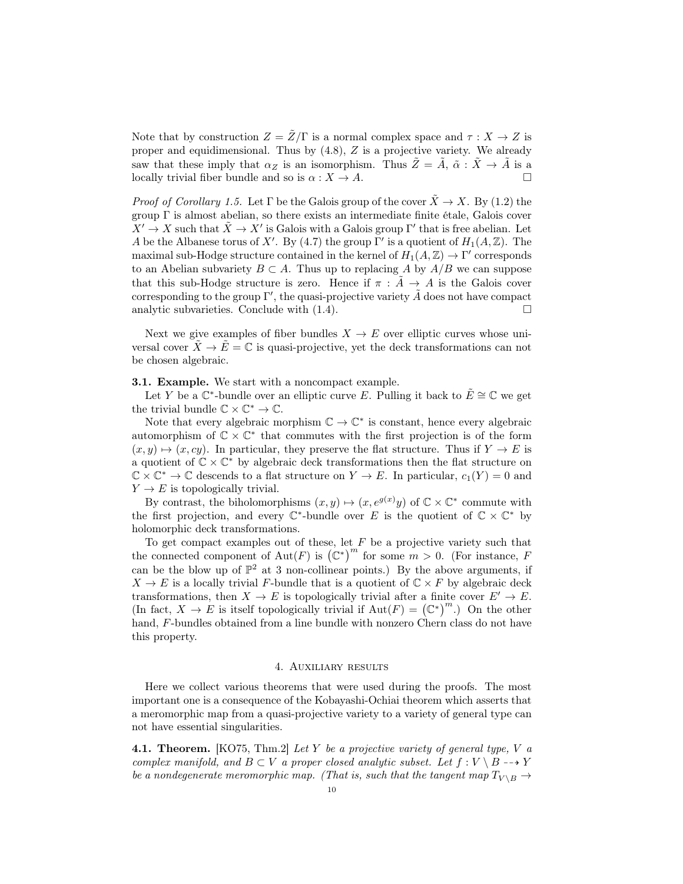Note that by construction  $Z = \tilde{Z}/\Gamma$  is a normal complex space and  $\tau : X \to Z$  is proper and equidimensional. Thus by  $(4.8)$ , Z is a projective variety. We already saw that these imply that  $\alpha_Z$  is an isomorphism. Thus  $\tilde{Z} = \tilde{A}$ ,  $\tilde{\alpha} : \tilde{X} \to \tilde{A}$  is a locally trivial fiber bundle and so is  $\alpha : X \to A$ .

*Proof of Corollary 1.5.* Let  $\Gamma$  be the Galois group of the cover  $\tilde{X} \to X$ . By (1.2) the group Γ is almost abelian, so there exists an intermediate finite étale, Galois cover  $X' \to X$  such that  $\tilde{X} \to X'$  is Galois with a Galois group Γ' that is free abelian. Let A be the Albanese torus of X'. By (4.7) the group  $\Gamma'$  is a quotient of  $H_1(A, \mathbb{Z})$ . The maximal sub-Hodge structure contained in the kernel of  $H_1(A, \mathbb{Z}) \to \Gamma'$  corresponds to an Abelian subvariety  $B \subset A$ . Thus up to replacing A by  $A/B$  we can suppose that this sub-Hodge structure is zero. Hence if  $\pi$ :  $\tilde{A} \rightarrow A$  is the Galois cover corresponding to the group  $\Gamma'$ , the quasi-projective variety  $\tilde{A}$  does not have compact analytic subvarieties. Conclude with  $(1.4)$ .

Next we give examples of fiber bundles  $X \to E$  over elliptic curves whose universal cover  $X \to E = \mathbb{C}$  is quasi-projective, yet the deck transformations can not be chosen algebraic.

### **3.1. Example.** We start with a noncompact example.

Let Y be a  $\mathbb{C}^*$ -bundle over an elliptic curve E. Pulling it back to  $\tilde{E} \cong \mathbb{C}$  we get the trivial bundle  $\mathbb{C} \times \mathbb{C}^* \to \mathbb{C}$ .

Note that every algebraic morphism  $\mathbb{C} \to \mathbb{C}^*$  is constant, hence every algebraic automorphism of  $\mathbb{C} \times \mathbb{C}^*$  that commutes with the first projection is of the form  $(x, y) \mapsto (x, cy)$ . In particular, they preserve the flat structure. Thus if  $Y \to E$  is a quotient of  $\mathbb{C} \times \mathbb{C}^*$  by algebraic deck transformations then the flat structure on  $\mathbb{C} \times \mathbb{C}^* \to \mathbb{C}$  descends to a flat structure on  $Y \to E$ . In particular,  $c_1(Y) = 0$  and  $Y \to E$  is topologically trivial.

By contrast, the biholomorphisms  $(x, y) \mapsto (x, e^{g(x)}y)$  of  $\mathbb{C} \times \mathbb{C}^*$  commute with the first projection, and every  $\mathbb{C}^*$ -bundle over E is the quotient of  $\mathbb{C} \times \mathbb{C}^*$  by holomorphic deck transformations.

To get compact examples out of these, let  $F$  be a projective variety such that the connected component of Aut(F) is  $(\mathbb{C}^*)^m$  for some  $m > 0$ . (For instance, F can be the blow up of  $\mathbb{P}^2$  at 3 non-collinear points.) By the above arguments, if  $X \to E$  is a locally trivial F-bundle that is a quotient of  $\mathbb{C} \times F$  by algebraic deck transformations, then  $X \to E$  is topologically trivial after a finite cover  $E' \to E$ . (In fact,  $X \to E$  is itself topologically trivial if  $\text{Aut}(F) = (\mathbb{C}^*)^m$ .) On the other hand, F-bundles obtained from a line bundle with nonzero Chern class do not have this property.

### 4. Auxiliary results

Here we collect various theorems that were used during the proofs. The most important one is a consequence of the Kobayashi-Ochiai theorem which asserts that a meromorphic map from a quasi-projective variety to a variety of general type can not have essential singularities.

**4.1. Theorem.** [KO75, Thm.2] Let Y be a projective variety of general type, V  $\alpha$ complex manifold, and  $B \subset V$  a proper closed analytic subset. Let  $f: V \setminus B \dashrightarrow Y$ be a nondegenerate meromorphic map. (That is, such that the tangent map  $T_{V \setminus B} \to$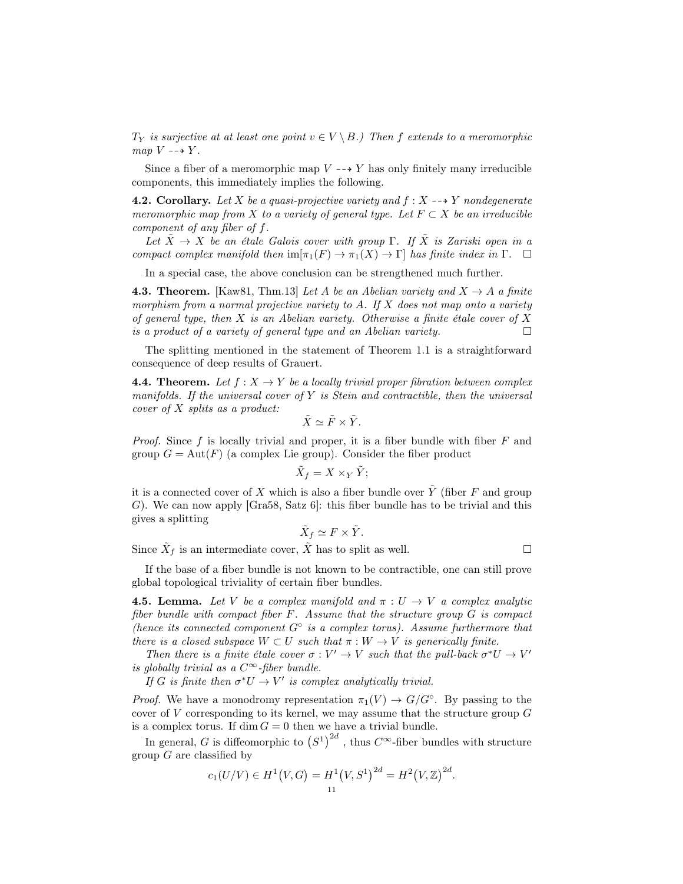$T_Y$  is surjective at at least one point  $v \in V \setminus B$ .) Then f extends to a meromorphic map  $V \dashrightarrow Y$ .

Since a fiber of a meromorphic map  $V \dashrightarrow Y$  has only finitely many irreducible components, this immediately implies the following.

**4.2.** Corollary. Let X be a quasi-projective variety and  $f: X \rightarrow Y$  nondegenerate meromorphic map from X to a variety of general type. Let  $F \subset X$  be an irreducible component of any fiber of f.

Let  $\tilde{X} \to X$  be an étale Galois cover with group Γ. If  $\tilde{X}$  is Zariski open in a compact complex manifold then  $\text{im}[\pi_1(F) \to \pi_1(X) \to \Gamma]$  has finite index in  $\Gamma$ .  $\Box$ 

In a special case, the above conclusion can be strengthened much further.

**4.3. Theorem.** [Kaw81, Thm.13] Let A be an Abelian variety and  $X \rightarrow A$  a finite morphism from a normal projective variety to A. If  $X$  does not map onto a variety of general type, then  $X$  is an Abelian variety. Otherwise a finite étale cover of  $X$ is a product of a variety of general type and an Abelian variety.  $\Box$ 

The splitting mentioned in the statement of Theorem 1.1 is a straightforward consequence of deep results of Grauert.

**4.4. Theorem.** Let  $f: X \to Y$  be a locally trivial proper fibration between complex manifolds. If the universal cover of  $Y$  is Stein and contractible, then the universal cover of X splits as a product:

$$
\tilde{X} \simeq \tilde{F} \times \tilde{Y}.
$$

*Proof.* Since f is locally trivial and proper, it is a fiber bundle with fiber  $F$  and group  $G = \text{Aut}(F)$  (a complex Lie group). Consider the fiber product

$$
\tilde{X}_f = X \times_Y \tilde{Y};
$$

it is a connected cover of X which is also a fiber bundle over  $\tilde{Y}$  (fiber F and group G). We can now apply  $[Gra58, Satz 6]$ : this fiber bundle has to be trivial and this gives a splitting

$$
\tilde{X}_f \simeq F \times \tilde{Y}.
$$

Since  $\tilde{X}_f$  is an intermediate cover,  $\tilde{X}$  has to split as well.

If the base of a fiber bundle is not known to be contractible, one can still prove global topological triviality of certain fiber bundles.

**4.5. Lemma.** Let V be a complex manifold and  $\pi: U \to V$  a complex analytic fiber bundle with compact fiber F. Assume that the structure group G is compact (hence its connected component  $G^{\circ}$  is a complex torus). Assume furthermore that there is a closed subspace  $W \subset U$  such that  $\pi : W \to V$  is generically finite.

Then there is a finite étale cover  $\sigma: V' \to V$  such that the pull-back  $\sigma^* U \to V'$ is globally trivial as a  $C^{\infty}$ -fiber bundle.

If G is finite then  $\sigma^*U \to V'$  is complex analytically trivial.

*Proof.* We have a monodromy representation  $\pi_1(V) \to G/G^{\circ}$ . By passing to the cover of  $V$  corresponding to its kernel, we may assume that the structure group  $G$ is a complex torus. If  $\dim G = 0$  then we have a trivial bundle.

In general, G is diffeomorphic to  $(S^1)^{2d}$ , thus  $C^{\infty}$ -fiber bundles with structure group  $G$  are classified by

$$
c_1(U/V) \in H^1(V, G) = H^1(V, S^1)^{2d} = H^2(V, \mathbb{Z})^{2d}.
$$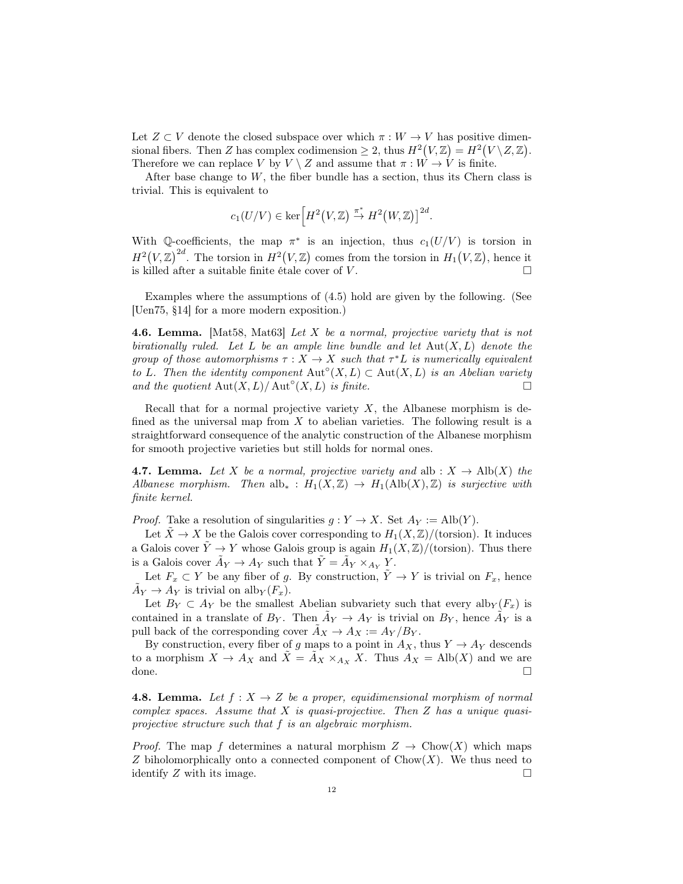Let  $Z \subset V$  denote the closed subspace over which  $\pi : W \to V$  has positive dimensional fibers. Then Z has complex codimension  $\geq 2$ , thus  $H^2(V, \mathbb{Z}) = H^2(V \setminus Z, \mathbb{Z})$ . Therefore we can replace V by  $V \setminus Z$  and assume that  $\pi : W \to V$  is finite.

After base change to  $W$ , the fiber bundle has a section, thus its Chern class is trivial. This is equivalent to

$$
c_1(U/V)\in \ker\left[H^2\big(V,\mathbb{Z}\big)\stackrel{\pi^*}{\to}H^2\big(W,\mathbb{Z}\big)\right]^{2d}.
$$

With Q-coefficients, the map  $\pi^*$  is an injection, thus  $c_1(U/V)$  is torsion in  $H^2(V,\mathbb{Z})^{2d}$ . The torsion in  $H^2(V,\mathbb{Z})$  comes from the torsion in  $H_1(V,\mathbb{Z})$ , hence it is killed after a suitable finite étale cover of  $V$ .

Examples where the assumptions of (4.5) hold are given by the following. (See [Uen75, §14] for a more modern exposition.)

**4.6. Lemma.** [Mat58, Mat63] Let X be a normal, projective variety that is not birationally ruled. Let L be an ample line bundle and let  $Aut(X, L)$  denote the group of those automorphisms  $\tau : X \to X$  such that  $\tau^*L$  is numerically equivalent to L. Then the identity component  $\text{Aut}^{\circ}(X, L) \subset \text{Aut}(X, L)$  is an Abelian variety and the quotient  $\text{Aut}(X, L)/\text{Aut}^{\circ}(X, L)$  is finite.

Recall that for a normal projective variety  $X$ , the Albanese morphism is defined as the universal map from  $X$  to abelian varieties. The following result is a straightforward consequence of the analytic construction of the Albanese morphism for smooth projective varieties but still holds for normal ones.

**4.7. Lemma.** Let X be a normal, projective variety and alb :  $X \to Alb(X)$  the Albanese morphism. Then alb<sub>∗</sub> :  $H_1(X,\mathbb{Z}) \to H_1(\text{Alb}(X),\mathbb{Z})$  is surjective with finite kernel.

*Proof.* Take a resolution of singularities  $g: Y \to X$ . Set  $A_Y := \text{Alb}(Y)$ .

Let  $\tilde{X} \to X$  be the Galois cover corresponding to  $H_1(X, \mathbb{Z})/$  (torsion). It induces a Galois cover  $\tilde{Y} \to Y$  whose Galois group is again  $H_1(X, \mathbb{Z})/(\text{torsion})$ . Thus there is a Galois cover  $\tilde{A}_Y \to A_Y$  such that  $\tilde{Y} = \tilde{A}_Y \times_{A_Y} Y$ .

Let  $F_x \subset Y$  be any fiber of g. By construction,  $\tilde{Y} \to Y$  is trivial on  $F_x$ , hence  $\tilde{A}_Y \to A_Y$  is trivial on alb $_Y(F_x)$ .

Let  $B_Y \subset A_Y$  be the smallest Abelian subvariety such that every alb $_Y(F_x)$  is contained in a translate of  $B_Y$ . Then  $\tilde{A}_Y \to A_Y$  is trivial on  $B_Y$ , hence  $\tilde{A}_Y$  is a pull back of the corresponding cover  $\ddot{A}_X \rightarrow A_X := A_Y / B_Y$ .

By construction, every fiber of g maps to a point in  $A_X$ , thus  $Y \to A_Y$  descends to a morphism  $X \to A_X$  and  $\tilde{X} = \tilde{A}_X \times_{A_X} X$ . Thus  $A_X = \text{Alb}(X)$  and we are done.

**4.8. Lemma.** Let  $f: X \rightarrow Z$  be a proper, equidimensional morphism of normal complex spaces. Assume that  $X$  is quasi-projective. Then  $Z$  has a unique quasiprojective structure such that f is an algebraic morphism.

*Proof.* The map f determines a natural morphism  $Z \to \text{Chow}(X)$  which maps Z biholomorphically onto a connected component of  $Chow(X)$ . We thus need to identify Z with its image.  $\Box$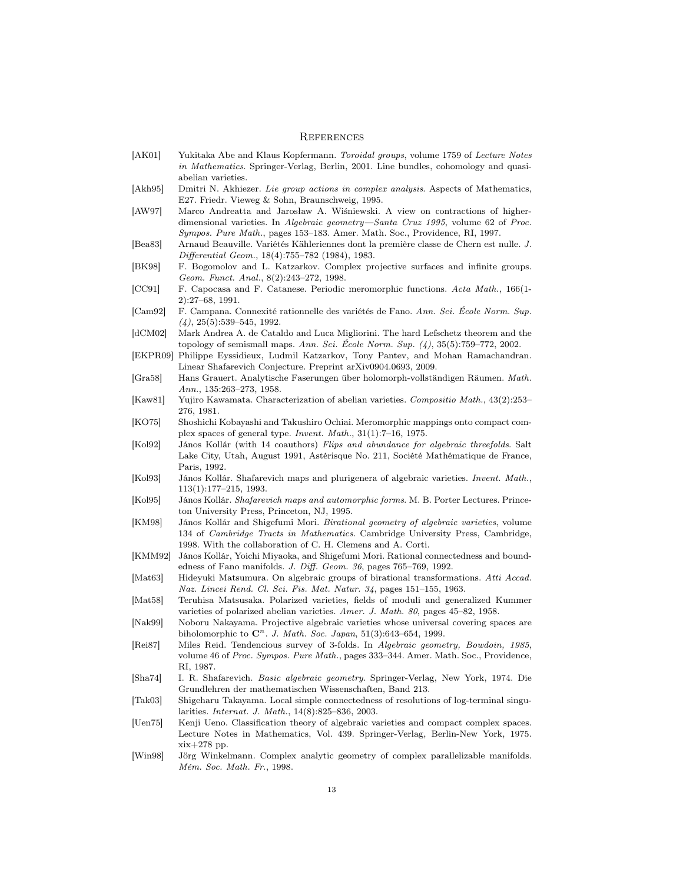#### **REFERENCES**

- [AK01] Yukitaka Abe and Klaus Kopfermann. Toroidal groups, volume 1759 of Lecture Notes in Mathematics. Springer-Verlag, Berlin, 2001. Line bundles, cohomology and quasiabelian varieties.
- [Akh95] Dmitri N. Akhiezer. Lie group actions in complex analysis. Aspects of Mathematics, E27. Friedr. Vieweg & Sohn, Braunschweig, 1995.
- [AW97] Marco Andreatta and Jarosław A. Wiśniewski. A view on contractions of higherdimensional varieties. In Algebraic geometry—Santa Cruz 1995, volume 62 of Proc. Sympos. Pure Math., pages 153–183. Amer. Math. Soc., Providence, RI, 1997.
- [Bea83] Arnaud Beauville. Variétés Kähleriennes dont la première classe de Chern est nulle. J. Differential Geom., 18(4):755–782 (1984), 1983.
- [BK98] F. Bogomolov and L. Katzarkov. Complex projective surfaces and infinite groups. Geom. Funct. Anal., 8(2):243–272, 1998.
- [CC91] F. Capocasa and F. Catanese. Periodic meromorphic functions. Acta Math., 166(1- 2):27–68, 1991.
- [Cam92] F. Campana. Connexité rationnelle des variétés de Fano. Ann. Sci. École Norm. Sup.  $(4)$ , 25 $(5)$ :539-545, 1992.
- [dCM02] Mark Andrea A. de Cataldo and Luca Migliorini. The hard Lefschetz theorem and the topology of semismall maps. Ann. Sci. École Norm. Sup.  $(4)$ , 35(5):759–772, 2002.
- [EKPR09] Philippe Eyssidieux, Ludmil Katzarkov, Tony Pantev, and Mohan Ramachandran. Linear Shafarevich Conjecture. Preprint arXiv0904.0693, 2009.
- [Gra58] Hans Grauert. Analytische Faserungen über holomorph-vollständigen Räumen. Math. Ann., 135:263–273, 1958.
- [Kaw81] Yujiro Kawamata. Characterization of abelian varieties. Compositio Math., 43(2):253– 276, 1981.
- [KO75] Shoshichi Kobayashi and Takushiro Ochiai. Meromorphic mappings onto compact complex spaces of general type. Invent. Math., 31(1):7–16, 1975.
- [Kol92] János Kollár (with 14 coauthors) Flips and abundance for algebraic threefolds. Salt Lake City, Utah, August 1991, Astérisque No. 211, Société Mathématique de France, Paris, 1992.
- [Kol93] János Kollár. Shafarevich maps and plurigenera of algebraic varieties. Invent. Math., 113(1):177–215, 1993.
- [Kol95] János Kollár. Shafarevich maps and automorphic forms. M. B. Porter Lectures. Princeton University Press, Princeton, NJ, 1995.
- [KM98] János Kollár and Shigefumi Mori. Birational geometry of algebraic varieties, volume 134 of Cambridge Tracts in Mathematics. Cambridge University Press, Cambridge, 1998. With the collaboration of C. H. Clemens and A. Corti.
- [KMM92] János Kollár, Yoichi Miyaoka, and Shigefumi Mori. Rational connectedness and boundedness of Fano manifolds. J. Diff. Geom. 36, pages 765–769, 1992.
- [Mat63] Hideyuki Matsumura. On algebraic groups of birational transformations. Atti Accad. Naz. Lincei Rend. Cl. Sci. Fis. Mat. Natur. 34, pages 151–155, 1963.
- [Mat58] Teruhisa Matsusaka. Polarized varieties, fields of moduli and generalized Kummer varieties of polarized abelian varieties. Amer. J. Math. 80, pages 45–82, 1958.
- [Nak99] Noboru Nakayama. Projective algebraic varieties whose universal covering spaces are biholomorphic to  $\mathbb{C}^n$ . J. Math. Soc. Japan, 51(3):643–654, 1999.
- [Rei87] Miles Reid. Tendencious survey of 3-folds. In Algebraic geometry, Bowdoin, 1985, volume 46 of Proc. Sympos. Pure Math., pages 333–344. Amer. Math. Soc., Providence, RI, 1987.
- [Sha74] I. R. Shafarevich. Basic algebraic geometry. Springer-Verlag, New York, 1974. Die Grundlehren der mathematischen Wissenschaften, Band 213.
- [Tak03] Shigeharu Takayama. Local simple connectedness of resolutions of log-terminal singularities. Internat. J. Math., 14(8):825–836, 2003.
- [Uen75] Kenji Ueno. Classification theory of algebraic varieties and compact complex spaces. Lecture Notes in Mathematics, Vol. 439. Springer-Verlag, Berlin-New York, 1975. xix+278 pp.
- [Win98] Jörg Winkelmann. Complex analytic geometry of complex parallelizable manifolds. Mém. Soc. Math. Fr., 1998.